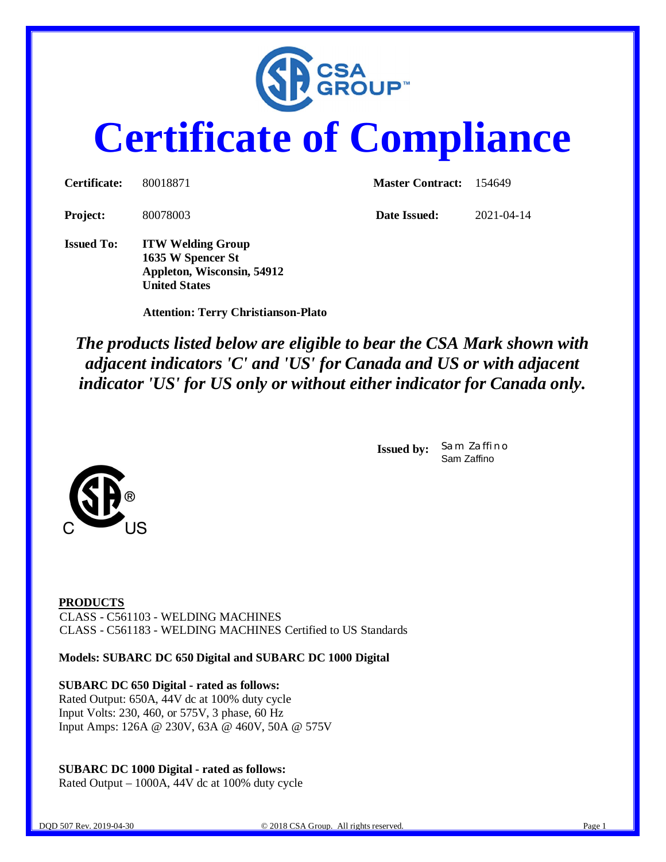

# **Certificate of Compliance**

| <b>Project:</b>   | 80078003                                      | Date Issued: | 2021-04-14 |
|-------------------|-----------------------------------------------|--------------|------------|
| <b>Issued To:</b> | <b>ITW Welding Group</b><br>1635 W Spencer St |              |            |

 **Attention: Terry Christianson-Plato**

**Appleton, Wisconsin, 54912**

**United States**

*The products listed below are eligible to bear the CSA Mark shown with adjacent indicators 'C' and 'US' for Canada and US or with adjacent indicator 'US' for US only or without either indicator for Canada only.*

> **Issued by:** *Sam Zaffino* Sam Zaffino



**PRODUCTS** CLASS - C561103 - WELDING MACHINES CLASS - C561183 - WELDING MACHINES Certified to US Standards

**Models: SUBARC DC 650 Digital and SUBARC DC 1000 Digital**

**SUBARC DC 650 Digital - rated as follows:** Rated Output: 650A, 44V dc at 100% duty cycle Input Volts: 230, 460, or 575V, 3 phase, 60 Hz Input Amps: 126A @ 230V, 63A @ 460V, 50A @ 575V

### **SUBARC DC 1000 Digital - rated as follows:**

Rated Output – 1000A, 44V dc at 100% duty cycle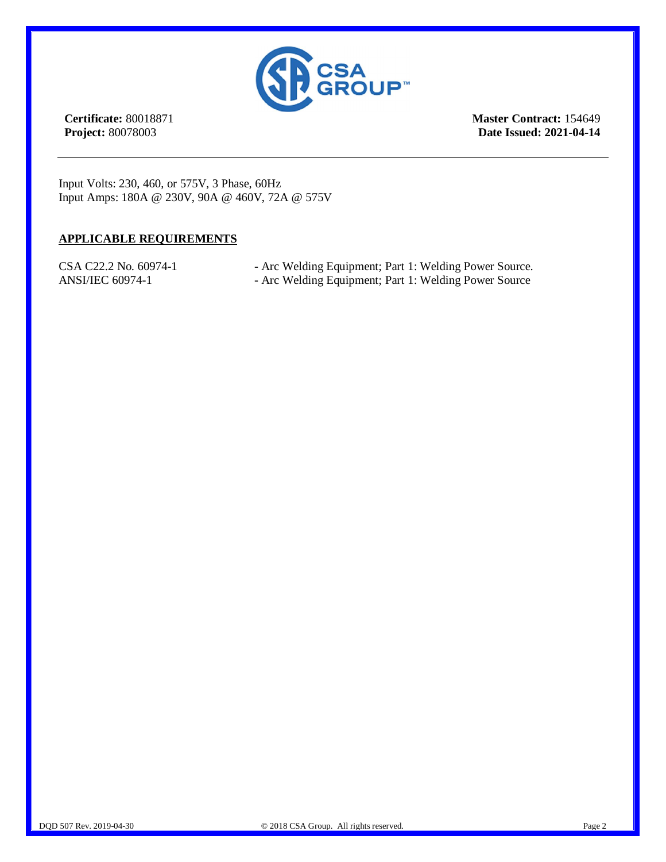

**Certificate:** 80018871 **Project:** 80078003

**Master Contract:** 154649 **Date Issued: 2021-04-14**

Input Volts: 230, 460, or 575V, 3 Phase, 60Hz Input Amps: 180A @ 230V, 90A @ 460V, 72A @ 575V

#### **APPLICABLE REQUIREMENTS**

- CSA C22.2 No. 60974-1 Arc Welding Equipment; Part 1: Welding Power Source.
- ANSI/IEC 60974-1 Arc Welding Equipment; Part 1: Welding Power Source